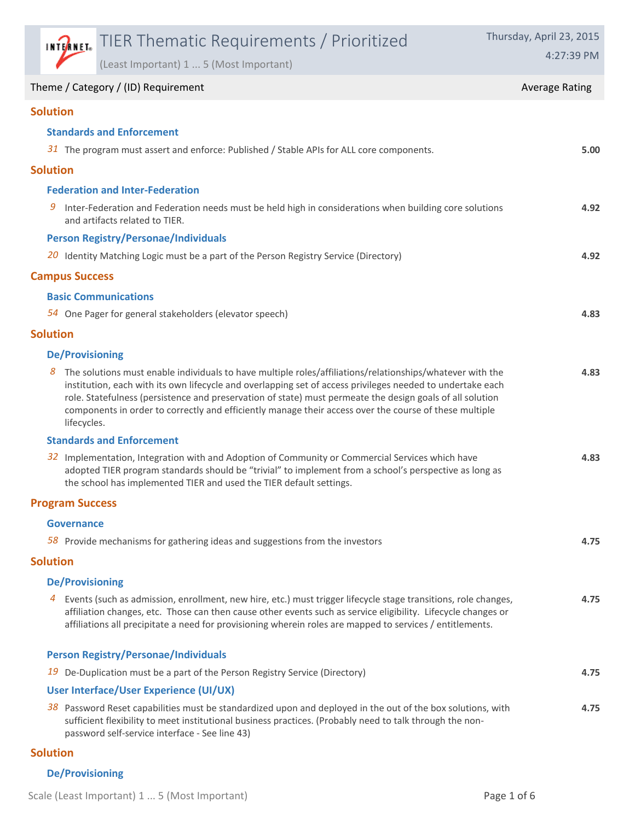|                 |                        | <b>INTERNET:</b> TIER Thematic Requirements / Prioritized                                                                                                                                                                                                                                                                                                                                                                                      | Thursday, April 23, 2015 |  |  |
|-----------------|------------------------|------------------------------------------------------------------------------------------------------------------------------------------------------------------------------------------------------------------------------------------------------------------------------------------------------------------------------------------------------------------------------------------------------------------------------------------------|--------------------------|--|--|
|                 |                        | (Least Important) 1  5 (Most Important)                                                                                                                                                                                                                                                                                                                                                                                                        | 4:27:39 PM               |  |  |
|                 |                        | Theme / Category / (ID) Requirement                                                                                                                                                                                                                                                                                                                                                                                                            | <b>Average Rating</b>    |  |  |
| <b>Solution</b> |                        |                                                                                                                                                                                                                                                                                                                                                                                                                                                |                          |  |  |
|                 |                        | <b>Standards and Enforcement</b>                                                                                                                                                                                                                                                                                                                                                                                                               |                          |  |  |
|                 |                        | 31 The program must assert and enforce: Published / Stable APIs for ALL core components.                                                                                                                                                                                                                                                                                                                                                       | 5.00                     |  |  |
| <b>Solution</b> |                        |                                                                                                                                                                                                                                                                                                                                                                                                                                                |                          |  |  |
|                 |                        | <b>Federation and Inter-Federation</b>                                                                                                                                                                                                                                                                                                                                                                                                         |                          |  |  |
| 9               |                        | Inter-Federation and Federation needs must be held high in considerations when building core solutions<br>and artifacts related to TIER.                                                                                                                                                                                                                                                                                                       | 4.92                     |  |  |
|                 |                        | <b>Person Registry/Personae/Individuals</b>                                                                                                                                                                                                                                                                                                                                                                                                    |                          |  |  |
|                 |                        | 20 Identity Matching Logic must be a part of the Person Registry Service (Directory)                                                                                                                                                                                                                                                                                                                                                           | 4.92                     |  |  |
|                 | <b>Campus Success</b>  |                                                                                                                                                                                                                                                                                                                                                                                                                                                |                          |  |  |
|                 |                        | <b>Basic Communications</b>                                                                                                                                                                                                                                                                                                                                                                                                                    |                          |  |  |
|                 |                        | 54 One Pager for general stakeholders (elevator speech)                                                                                                                                                                                                                                                                                                                                                                                        | 4.83                     |  |  |
| <b>Solution</b> |                        |                                                                                                                                                                                                                                                                                                                                                                                                                                                |                          |  |  |
|                 | <b>De/Provisioning</b> |                                                                                                                                                                                                                                                                                                                                                                                                                                                |                          |  |  |
| 8               | lifecycles.            | The solutions must enable individuals to have multiple roles/affiliations/relationships/whatever with the<br>institution, each with its own lifecycle and overlapping set of access privileges needed to undertake each<br>role. Statefulness (persistence and preservation of state) must permeate the design goals of all solution<br>components in order to correctly and efficiently manage their access over the course of these multiple | 4.83                     |  |  |
|                 |                        | <b>Standards and Enforcement</b>                                                                                                                                                                                                                                                                                                                                                                                                               |                          |  |  |
|                 |                        | 32 Implementation, Integration with and Adoption of Community or Commercial Services which have<br>adopted TIER program standards should be "trivial" to implement from a school's perspective as long as<br>the school has implemented TIER and used the TIER default settings.                                                                                                                                                               | 4.83                     |  |  |
|                 | <b>Program Success</b> |                                                                                                                                                                                                                                                                                                                                                                                                                                                |                          |  |  |
|                 | <b>Governance</b>      |                                                                                                                                                                                                                                                                                                                                                                                                                                                |                          |  |  |
|                 |                        | $58$ Provide mechanisms for gathering ideas and suggestions from the investors                                                                                                                                                                                                                                                                                                                                                                 | 4.75                     |  |  |
| <b>Solution</b> |                        |                                                                                                                                                                                                                                                                                                                                                                                                                                                |                          |  |  |
|                 | <b>De/Provisioning</b> |                                                                                                                                                                                                                                                                                                                                                                                                                                                |                          |  |  |
| 4               |                        | Events (such as admission, enrollment, new hire, etc.) must trigger lifecycle stage transitions, role changes,<br>affiliation changes, etc. Those can then cause other events such as service eligibility. Lifecycle changes or<br>affiliations all precipitate a need for provisioning wherein roles are mapped to services / entitlements.                                                                                                   | 4.75                     |  |  |
|                 |                        | <b>Person Registry/Personae/Individuals</b>                                                                                                                                                                                                                                                                                                                                                                                                    |                          |  |  |
| 19              |                        | De-Duplication must be a part of the Person Registry Service (Directory)                                                                                                                                                                                                                                                                                                                                                                       | 4.75                     |  |  |
|                 |                        | User Interface/User Experience (UI/UX)                                                                                                                                                                                                                                                                                                                                                                                                         |                          |  |  |
|                 |                        | 38 Password Reset capabilities must be standardized upon and deployed in the out of the box solutions, with<br>sufficient flexibility to meet institutional business practices. (Probably need to talk through the non-<br>password self-service interface - See line 43)                                                                                                                                                                      | 4.75                     |  |  |

## **Solution**

## **De/Provisioning**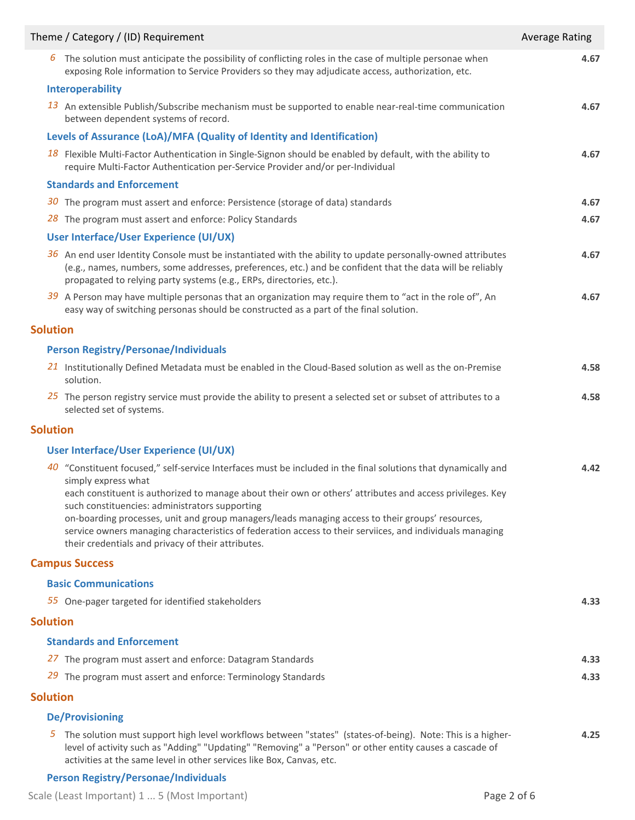| Theme / Category / (ID) Requirement<br><b>Average Rating</b> |                                                                                                                                                                                                                                                                                                                                                                                                                                                                                                                                                                             |      |  |
|--------------------------------------------------------------|-----------------------------------------------------------------------------------------------------------------------------------------------------------------------------------------------------------------------------------------------------------------------------------------------------------------------------------------------------------------------------------------------------------------------------------------------------------------------------------------------------------------------------------------------------------------------------|------|--|
| ь                                                            | The solution must anticipate the possibility of conflicting roles in the case of multiple personae when<br>exposing Role information to Service Providers so they may adjudicate access, authorization, etc.                                                                                                                                                                                                                                                                                                                                                                | 4.67 |  |
|                                                              | Interoperability                                                                                                                                                                                                                                                                                                                                                                                                                                                                                                                                                            |      |  |
|                                                              | 13 An extensible Publish/Subscribe mechanism must be supported to enable near-real-time communication<br>between dependent systems of record.                                                                                                                                                                                                                                                                                                                                                                                                                               | 4.67 |  |
|                                                              | Levels of Assurance (LoA)/MFA (Quality of Identity and Identification)                                                                                                                                                                                                                                                                                                                                                                                                                                                                                                      |      |  |
|                                                              | 18 Flexible Multi-Factor Authentication in Single-Signon should be enabled by default, with the ability to<br>require Multi-Factor Authentication per-Service Provider and/or per-Individual                                                                                                                                                                                                                                                                                                                                                                                | 4.67 |  |
|                                                              | <b>Standards and Enforcement</b>                                                                                                                                                                                                                                                                                                                                                                                                                                                                                                                                            |      |  |
|                                                              | 30 The program must assert and enforce: Persistence (storage of data) standards                                                                                                                                                                                                                                                                                                                                                                                                                                                                                             | 4.67 |  |
|                                                              | 28 The program must assert and enforce: Policy Standards                                                                                                                                                                                                                                                                                                                                                                                                                                                                                                                    | 4.67 |  |
|                                                              | User Interface/User Experience (UI/UX)                                                                                                                                                                                                                                                                                                                                                                                                                                                                                                                                      |      |  |
|                                                              | $36$ An end user Identity Console must be instantiated with the ability to update personally-owned attributes<br>(e.g., names, numbers, some addresses, preferences, etc.) and be confident that the data will be reliably<br>propagated to relying party systems (e.g., ERPs, directories, etc.).                                                                                                                                                                                                                                                                          | 4.67 |  |
|                                                              | 39 A Person may have multiple personas that an organization may require them to "act in the role of", An<br>easy way of switching personas should be constructed as a part of the final solution.                                                                                                                                                                                                                                                                                                                                                                           | 4.67 |  |
| <b>Solution</b>                                              |                                                                                                                                                                                                                                                                                                                                                                                                                                                                                                                                                                             |      |  |
|                                                              | <b>Person Registry/Personae/Individuals</b>                                                                                                                                                                                                                                                                                                                                                                                                                                                                                                                                 |      |  |
|                                                              | 21 Institutionally Defined Metadata must be enabled in the Cloud-Based solution as well as the on-Premise<br>solution.                                                                                                                                                                                                                                                                                                                                                                                                                                                      | 4.58 |  |
|                                                              | 25 The person registry service must provide the ability to present a selected set or subset of attributes to a<br>selected set of systems.                                                                                                                                                                                                                                                                                                                                                                                                                                  | 4.58 |  |
| <b>Solution</b>                                              |                                                                                                                                                                                                                                                                                                                                                                                                                                                                                                                                                                             |      |  |
|                                                              | User Interface/User Experience (UI/UX)                                                                                                                                                                                                                                                                                                                                                                                                                                                                                                                                      |      |  |
|                                                              | 40 "Constituent focused," self-service Interfaces must be included in the final solutions that dynamically and<br>simply express what<br>each constituent is authorized to manage about their own or others' attributes and access privileges. Key<br>such constituencies: administrators supporting<br>on-boarding processes, unit and group managers/leads managing access to their groups' resources,<br>service owners managing characteristics of federation access to their serviices, and individuals managing<br>their credentials and privacy of their attributes. | 4.42 |  |
|                                                              | <b>Campus Success</b>                                                                                                                                                                                                                                                                                                                                                                                                                                                                                                                                                       |      |  |
|                                                              | <b>Basic Communications</b>                                                                                                                                                                                                                                                                                                                                                                                                                                                                                                                                                 |      |  |
|                                                              | 55 One-pager targeted for identified stakeholders                                                                                                                                                                                                                                                                                                                                                                                                                                                                                                                           | 4.33 |  |
| <b>Solution</b>                                              |                                                                                                                                                                                                                                                                                                                                                                                                                                                                                                                                                                             |      |  |
|                                                              | <b>Standards and Enforcement</b>                                                                                                                                                                                                                                                                                                                                                                                                                                                                                                                                            |      |  |
|                                                              | 27 The program must assert and enforce: Datagram Standards                                                                                                                                                                                                                                                                                                                                                                                                                                                                                                                  | 4.33 |  |
|                                                              | 29 The program must assert and enforce: Terminology Standards                                                                                                                                                                                                                                                                                                                                                                                                                                                                                                               | 4.33 |  |
| <b>Solution</b>                                              |                                                                                                                                                                                                                                                                                                                                                                                                                                                                                                                                                                             |      |  |
|                                                              | <b>De/Provisioning</b>                                                                                                                                                                                                                                                                                                                                                                                                                                                                                                                                                      |      |  |
|                                                              | 5 The colution must support bigh level workflows between "states" (states of being). Note: This is a higher                                                                                                                                                                                                                                                                                                                                                                                                                                                                 |      |  |

#### The solution must support high level workflows between "states" (states-of-being). Note: This is a higher-*5* **4.25** level of activity such as "Adding" "Updating" "Removing" a "Person" or other entity causes a cascade of activities at the same level in other services like Box, Canvas, etc.

### **Person Registry/Personae/Individuals**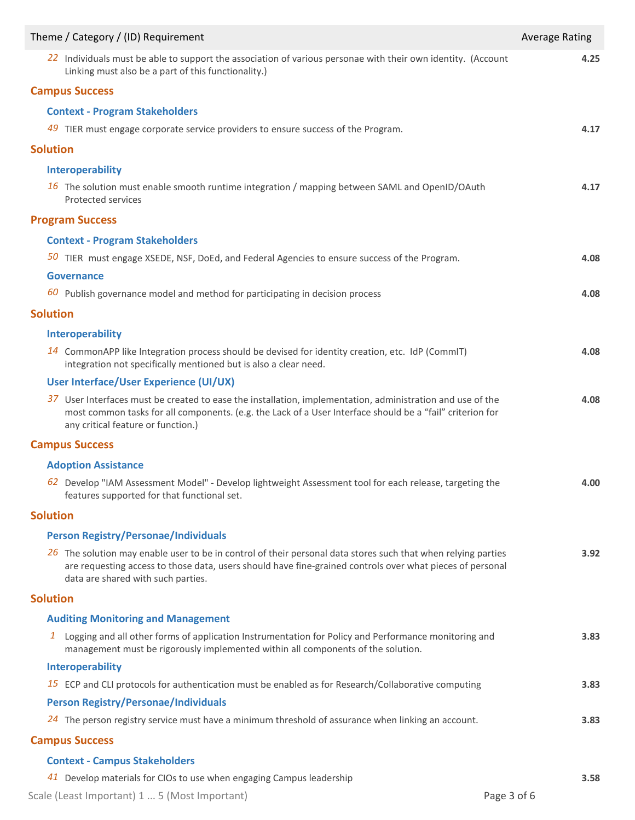| Theme / Category / (ID) Requirement                                                                                                                                                                                                                                | <b>Average Rating</b> |
|--------------------------------------------------------------------------------------------------------------------------------------------------------------------------------------------------------------------------------------------------------------------|-----------------------|
| 22 Individuals must be able to support the association of various personae with their own identity. (Account<br>Linking must also be a part of this functionality.)                                                                                                | 4.25                  |
| <b>Campus Success</b>                                                                                                                                                                                                                                              |                       |
| <b>Context - Program Stakeholders</b>                                                                                                                                                                                                                              |                       |
| 49 TIER must engage corporate service providers to ensure success of the Program.                                                                                                                                                                                  | 4.17                  |
| <b>Solution</b>                                                                                                                                                                                                                                                    |                       |
| Interoperability                                                                                                                                                                                                                                                   |                       |
| 16 The solution must enable smooth runtime integration / mapping between SAML and OpenID/OAuth<br><b>Protected services</b>                                                                                                                                        | 4.17                  |
| <b>Program Success</b>                                                                                                                                                                                                                                             |                       |
| <b>Context - Program Stakeholders</b>                                                                                                                                                                                                                              |                       |
| 50 TIER must engage XSEDE, NSF, DoEd, and Federal Agencies to ensure success of the Program.                                                                                                                                                                       | 4.08                  |
| <b>Governance</b>                                                                                                                                                                                                                                                  |                       |
| $60$ Publish governance model and method for participating in decision process                                                                                                                                                                                     | 4.08                  |
| <b>Solution</b>                                                                                                                                                                                                                                                    |                       |
| Interoperability                                                                                                                                                                                                                                                   |                       |
| 14 CommonAPP like Integration process should be devised for identity creation, etc. IdP (CommIT)<br>integration not specifically mentioned but is also a clear need.                                                                                               | 4.08                  |
| User Interface/User Experience (UI/UX)                                                                                                                                                                                                                             |                       |
| 37 User Interfaces must be created to ease the installation, implementation, administration and use of the<br>most common tasks for all components. (e.g. the Lack of a User Interface should be a "fail" criterion for<br>any critical feature or function.)      | 4.08                  |
| <b>Campus Success</b>                                                                                                                                                                                                                                              |                       |
| <b>Adoption Assistance</b>                                                                                                                                                                                                                                         |                       |
| 62 Develop "IAM Assessment Model" - Develop lightweight Assessment tool for each release, targeting the<br>features supported for that functional set.                                                                                                             | 4.00                  |
| <b>Solution</b>                                                                                                                                                                                                                                                    |                       |
| <b>Person Registry/Personae/Individuals</b>                                                                                                                                                                                                                        |                       |
| $26$ The solution may enable user to be in control of their personal data stores such that when relying parties<br>are requesting access to those data, users should have fine-grained controls over what pieces of personal<br>data are shared with such parties. | 3.92                  |
| <b>Solution</b>                                                                                                                                                                                                                                                    |                       |
| <b>Auditing Monitoring and Management</b>                                                                                                                                                                                                                          |                       |
| $\mathbf{1}$<br>Logging and all other forms of application Instrumentation for Policy and Performance monitoring and<br>management must be rigorously implemented within all components of the solution.                                                           | 3.83                  |
| Interoperability                                                                                                                                                                                                                                                   |                       |
| 15 ECP and CLI protocols for authentication must be enabled as for Research/Collaborative computing                                                                                                                                                                | 3.83                  |
| <b>Person Registry/Personae/Individuals</b>                                                                                                                                                                                                                        |                       |
| 24 The person registry service must have a minimum threshold of assurance when linking an account.                                                                                                                                                                 | 3.83                  |
| <b>Campus Success</b>                                                                                                                                                                                                                                              |                       |
| <b>Context - Campus Stakeholders</b>                                                                                                                                                                                                                               |                       |

*41* Develop materials for CIOs to use when engaging Campus leadership **3.58** Scale (Least Important) 1 ... 5 (Most Important) **Page 3 of 6**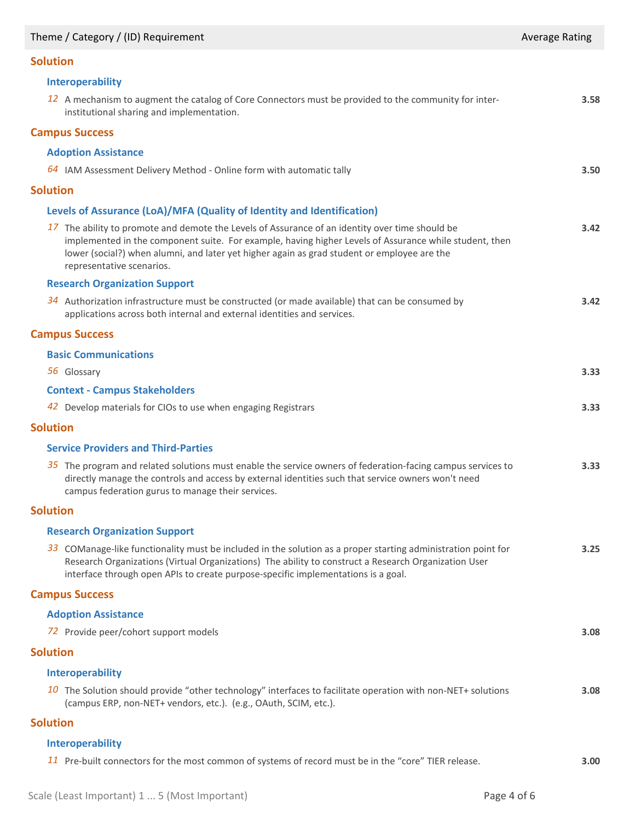## Theme / Category / (ID) Requirement Average Rating Average Rating Average Rating

# **Solution**

| <b>Solution</b> |                                                                                                                                                                                                                                                                                                                                       |      |
|-----------------|---------------------------------------------------------------------------------------------------------------------------------------------------------------------------------------------------------------------------------------------------------------------------------------------------------------------------------------|------|
|                 | <b>Interoperability</b>                                                                                                                                                                                                                                                                                                               |      |
|                 | 12 A mechanism to augment the catalog of Core Connectors must be provided to the community for inter-<br>institutional sharing and implementation.                                                                                                                                                                                    | 3.58 |
|                 | <b>Campus Success</b>                                                                                                                                                                                                                                                                                                                 |      |
|                 | <b>Adoption Assistance</b>                                                                                                                                                                                                                                                                                                            |      |
|                 | $64$ IAM Assessment Delivery Method - Online form with automatic tally                                                                                                                                                                                                                                                                | 3.50 |
| <b>Solution</b> |                                                                                                                                                                                                                                                                                                                                       |      |
|                 | Levels of Assurance (LoA)/MFA (Quality of Identity and Identification)                                                                                                                                                                                                                                                                |      |
|                 | 17 The ability to promote and demote the Levels of Assurance of an identity over time should be<br>implemented in the component suite. For example, having higher Levels of Assurance while student, then<br>lower (social?) when alumni, and later yet higher again as grad student or employee are the<br>representative scenarios. | 3.42 |
|                 | <b>Research Organization Support</b>                                                                                                                                                                                                                                                                                                  |      |
|                 | 34 Authorization infrastructure must be constructed (or made available) that can be consumed by<br>applications across both internal and external identities and services.                                                                                                                                                            | 3.42 |
|                 | <b>Campus Success</b>                                                                                                                                                                                                                                                                                                                 |      |
|                 | <b>Basic Communications</b>                                                                                                                                                                                                                                                                                                           |      |
|                 | 56 Glossary                                                                                                                                                                                                                                                                                                                           | 3.33 |
|                 | <b>Context - Campus Stakeholders</b>                                                                                                                                                                                                                                                                                                  |      |
|                 | 42 Develop materials for CIOs to use when engaging Registrars                                                                                                                                                                                                                                                                         | 3.33 |
| <b>Solution</b> |                                                                                                                                                                                                                                                                                                                                       |      |
|                 | <b>Service Providers and Third-Parties</b>                                                                                                                                                                                                                                                                                            |      |
|                 | $35$ The program and related solutions must enable the service owners of federation-facing campus services to<br>directly manage the controls and access by external identities such that service owners won't need<br>campus federation gurus to manage their services.                                                              | 3.33 |
| <b>Solution</b> |                                                                                                                                                                                                                                                                                                                                       |      |
|                 | <b>Research Organization Support</b>                                                                                                                                                                                                                                                                                                  |      |
|                 | 33 COManage-like functionality must be included in the solution as a proper starting administration point for<br>Research Organizations (Virtual Organizations) The ability to construct a Research Organization User<br>interface through open APIs to create purpose-specific implementations is a goal.                            | 3.25 |
|                 | <b>Campus Success</b>                                                                                                                                                                                                                                                                                                                 |      |
|                 | <b>Adoption Assistance</b>                                                                                                                                                                                                                                                                                                            |      |
|                 | 72 Provide peer/cohort support models                                                                                                                                                                                                                                                                                                 | 3.08 |
| <b>Solution</b> |                                                                                                                                                                                                                                                                                                                                       |      |
|                 | Interoperability                                                                                                                                                                                                                                                                                                                      |      |
|                 | 10 The Solution should provide "other technology" interfaces to facilitate operation with non-NET+ solutions<br>(campus ERP, non-NET+ vendors, etc.). (e.g., OAuth, SCIM, etc.).                                                                                                                                                      | 3.08 |
| <b>Solution</b> |                                                                                                                                                                                                                                                                                                                                       |      |
|                 |                                                                                                                                                                                                                                                                                                                                       |      |

## **Interoperability**

*11* Pre-built connectors for the most common of systems of record must be in the "core" TIER release. **3.00**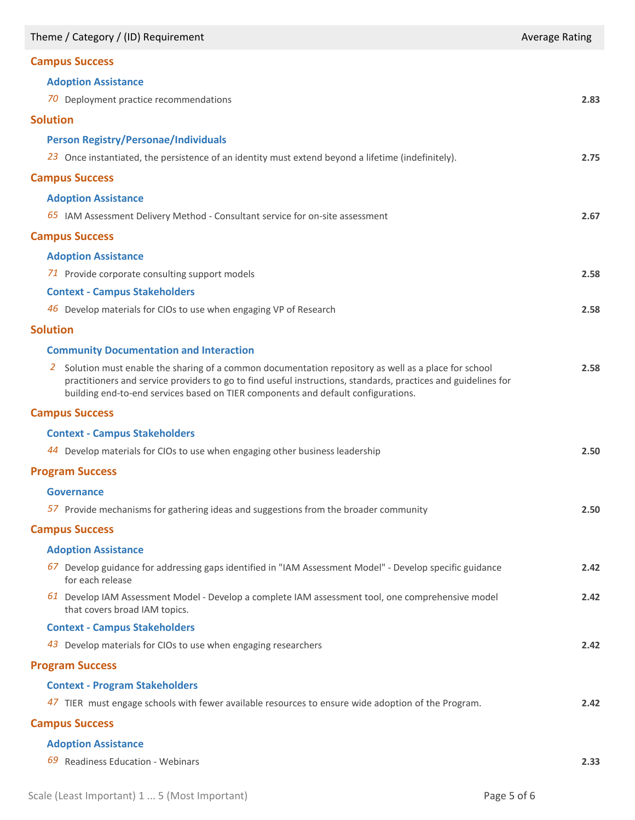| Theme / Category / (ID) Requirement                                                                                                                                                                                                                                                                              | <b>Average Rating</b> |
|------------------------------------------------------------------------------------------------------------------------------------------------------------------------------------------------------------------------------------------------------------------------------------------------------------------|-----------------------|
| <b>Campus Success</b>                                                                                                                                                                                                                                                                                            |                       |
| <b>Adoption Assistance</b>                                                                                                                                                                                                                                                                                       |                       |
| 70 Deployment practice recommendations                                                                                                                                                                                                                                                                           | 2.83                  |
| <b>Solution</b>                                                                                                                                                                                                                                                                                                  |                       |
| <b>Person Registry/Personae/Individuals</b>                                                                                                                                                                                                                                                                      |                       |
| 23 Once instantiated, the persistence of an identity must extend beyond a lifetime (indefinitely).                                                                                                                                                                                                               | 2.75                  |
| <b>Campus Success</b>                                                                                                                                                                                                                                                                                            |                       |
| <b>Adoption Assistance</b>                                                                                                                                                                                                                                                                                       |                       |
| 65 IAM Assessment Delivery Method - Consultant service for on-site assessment                                                                                                                                                                                                                                    | 2.67                  |
| <b>Campus Success</b>                                                                                                                                                                                                                                                                                            |                       |
| <b>Adoption Assistance</b>                                                                                                                                                                                                                                                                                       |                       |
| 71 Provide corporate consulting support models                                                                                                                                                                                                                                                                   | 2.58                  |
| <b>Context - Campus Stakeholders</b>                                                                                                                                                                                                                                                                             |                       |
| 46 Develop materials for CIOs to use when engaging VP of Research                                                                                                                                                                                                                                                | 2.58                  |
| <b>Solution</b>                                                                                                                                                                                                                                                                                                  |                       |
| <b>Community Documentation and Interaction</b>                                                                                                                                                                                                                                                                   |                       |
| Solution must enable the sharing of a common documentation repository as well as a place for school<br>2.<br>practitioners and service providers to go to find useful instructions, standards, practices and guidelines for<br>building end-to-end services based on TIER components and default configurations. | 2.58                  |
| <b>Campus Success</b>                                                                                                                                                                                                                                                                                            |                       |
| <b>Context - Campus Stakeholders</b>                                                                                                                                                                                                                                                                             |                       |
| Develop materials for CIOs to use when engaging other business leadership<br>44                                                                                                                                                                                                                                  | 2.50                  |
| <b>Program Success</b>                                                                                                                                                                                                                                                                                           |                       |
| Governance                                                                                                                                                                                                                                                                                                       |                       |
| 57 Provide mechanisms for gathering ideas and suggestions from the broader community                                                                                                                                                                                                                             | 2.50                  |
| <b>Campus Success</b>                                                                                                                                                                                                                                                                                            |                       |
| <b>Adoption Assistance</b>                                                                                                                                                                                                                                                                                       |                       |
| 67 Develop guidance for addressing gaps identified in "IAM Assessment Model" - Develop specific guidance<br>for each release                                                                                                                                                                                     | 2.42                  |
| 61 Develop IAM Assessment Model - Develop a complete IAM assessment tool, one comprehensive model<br>that covers broad IAM topics.                                                                                                                                                                               | 2.42                  |
| <b>Context - Campus Stakeholders</b>                                                                                                                                                                                                                                                                             |                       |
| 43 Develop materials for CIOs to use when engaging researchers                                                                                                                                                                                                                                                   | 2.42                  |
| <b>Program Success</b>                                                                                                                                                                                                                                                                                           |                       |
| <b>Context - Program Stakeholders</b>                                                                                                                                                                                                                                                                            |                       |
| 47 TIER must engage schools with fewer available resources to ensure wide adoption of the Program.                                                                                                                                                                                                               | 2.42                  |
| <b>Campus Success</b>                                                                                                                                                                                                                                                                                            |                       |
| <b>Adoption Assistance</b>                                                                                                                                                                                                                                                                                       |                       |
| 69 Readiness Education - Webinars                                                                                                                                                                                                                                                                                | 2.33                  |